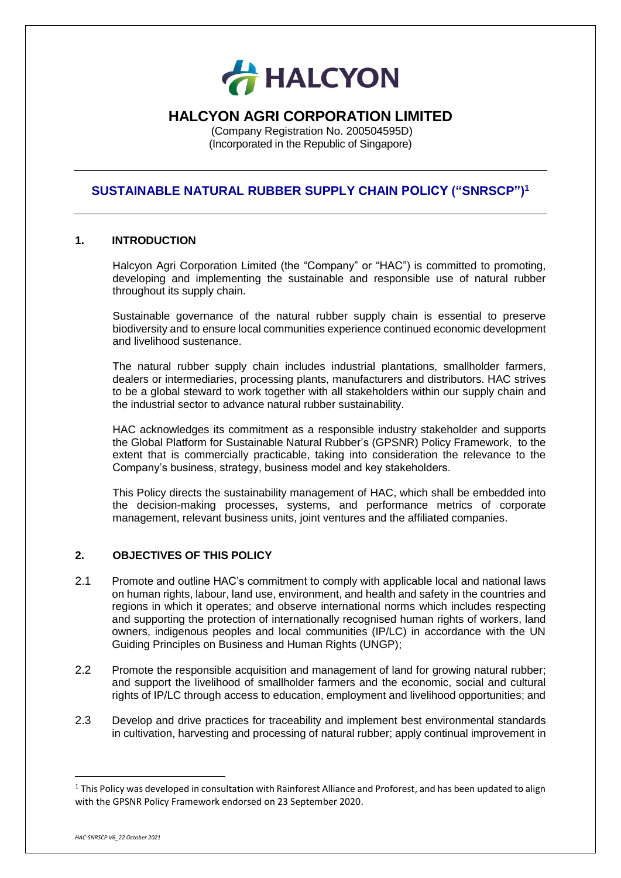

# **HALCYON AGRI CORPORATION LIMITED**

(Company Registration No. 200504595D) (Incorporated in the Republic of Singapore)

## **SUSTAINABLE NATURAL RUBBER SUPPLY CHAIN POLICY ("SNRSCP")<sup>1</sup>**

### **1. INTRODUCTION**

Halcyon Agri Corporation Limited (the "Company" or "HAC") is committed to promoting, developing and implementing the sustainable and responsible use of natural rubber throughout its supply chain.

Sustainable governance of the natural rubber supply chain is essential to preserve biodiversity and to ensure local communities experience continued economic development and livelihood sustenance.

The natural rubber supply chain includes industrial plantations, smallholder farmers, dealers or intermediaries, processing plants, manufacturers and distributors. HAC strives to be a global steward to work together with all stakeholders within our supply chain and the industrial sector to advance natural rubber sustainability.

HAC acknowledges its commitment as a responsible industry stakeholder and supports the Global Platform for Sustainable Natural Rubber's (GPSNR) Policy Framework, to the extent that is commercially practicable, taking into consideration the relevance to the Company's business, strategy, business model and key stakeholders.

This Policy directs the sustainability management of HAC, which shall be embedded into the decision-making processes, systems, and performance metrics of corporate management, relevant business units, joint ventures and the affiliated companies.

### **2. OBJECTIVES OF THIS POLICY**

- 2.1 Promote and outline HAC's commitment to comply with applicable local and national laws on human rights, labour, land use, environment, and health and safety in the countries and regions in which it operates; and observe international norms which includes respecting and supporting the protection of internationally recognised human rights of workers, land owners, indigenous peoples and local communities (IP/LC) in accordance with the UN Guiding Principles on Business and Human Rights (UNGP);
- 2.2 Promote the responsible acquisition and management of land for growing natural rubber; and support the livelihood of smallholder farmers and the economic, social and cultural rights of IP/LC through access to education, employment and livelihood opportunities; and
- 2.3 Develop and drive practices for traceability and implement best environmental standards in cultivation, harvesting and processing of natural rubber; apply continual improvement in

**.** 

 $1$  This Policy was developed in consultation with Rainforest Alliance and Proforest, and has been updated to align with the GPSNR Policy Framework endorsed on 23 September 2020.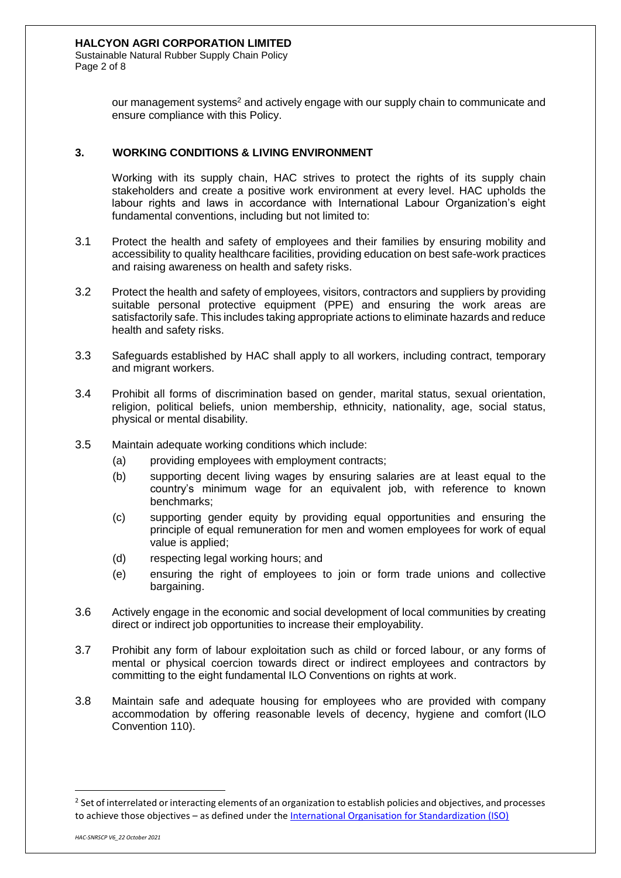Sustainable Natural Rubber Supply Chain Policy Page 2 of 8

> our management systems<sup>2</sup> and actively engage with our supply chain to communicate and ensure compliance with this Policy.

### **3. WORKING CONDITIONS & LIVING ENVIRONMENT**

Working with its supply chain, HAC strives to protect the rights of its supply chain stakeholders and create a positive work environment at every level. HAC upholds the labour rights and laws in accordance with International Labour Organization's eight fundamental conventions, including but not limited to:

- 3.1 Protect the health and safety of employees and their families by ensuring mobility and accessibility to quality healthcare facilities, providing education on best safe-work practices and raising awareness on health and safety risks.
- 3.2 Protect the health and safety of employees, visitors, contractors and suppliers by providing suitable personal protective equipment (PPE) and ensuring the work areas are satisfactorily safe. This includes taking appropriate actions to eliminate hazards and reduce health and safety risks.
- 3.3 Safeguards established by HAC shall apply to all workers, including contract, temporary and migrant workers.
- 3.4 Prohibit all forms of discrimination based on gender, marital status, sexual orientation, religion, political beliefs, union membership, ethnicity, nationality, age, social status, physical or mental disability.
- 3.5 Maintain adequate working conditions which include:
	- (a) providing employees with employment contracts;
	- (b) supporting decent living wages by ensuring salaries are at least equal to the country's minimum wage for an equivalent job, with reference to known benchmarks;
	- (c) supporting gender equity by providing equal opportunities and ensuring the principle of equal remuneration for men and women employees for work of equal value is applied;
	- (d) respecting legal working hours; and
	- (e) ensuring the right of employees to join or form trade unions and collective bargaining.
- 3.6 Actively engage in the economic and social development of local communities by creating direct or indirect job opportunities to increase their employability.
- 3.7 Prohibit any form of labour exploitation such as child or forced labour, or any forms of mental or physical coercion towards direct or indirect employees and contractors by committing to the eight fundamental ILO Conventions on rights at work.
- 3.8 Maintain safe and adequate housing for employees who are provided with company accommodation by offering reasonable levels of decency, hygiene and comfort (ILO Convention 110).

 $\overline{a}$ 

 $2$  Set of interrelated or interacting elements of an organization to establish policies and objectives, and processes to achieve those objectives – as defined under th[e International Organisation for Standardization \(ISO\)](https://www.iso.org/home.html)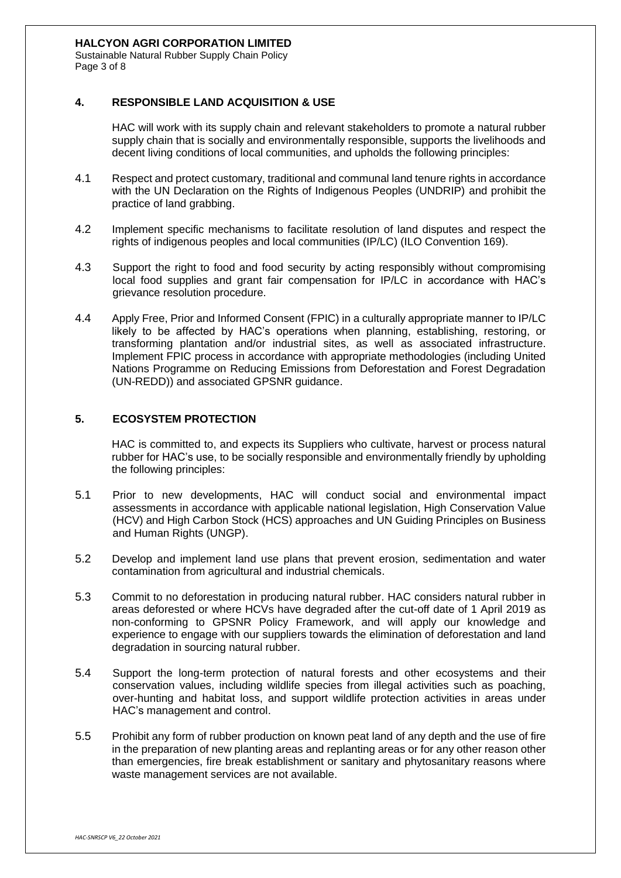Sustainable Natural Rubber Supply Chain Policy Page 3 of 8

### **4. RESPONSIBLE LAND ACQUISITION & USE**

HAC will work with its supply chain and relevant stakeholders to promote a natural rubber supply chain that is socially and environmentally responsible, supports the livelihoods and decent living conditions of local communities, and upholds the following principles:

- 4.1 Respect and protect customary, traditional and communal land tenure rights in accordance with the UN Declaration on the Rights of Indigenous Peoples (UNDRIP) and prohibit the practice of land grabbing.
- 4.2 Implement specific mechanisms to facilitate resolution of land disputes and respect the rights of indigenous peoples and local communities (IP/LC) (ILO Convention 169).
- 4.3 Support the right to food and food security by acting responsibly without compromising local food supplies and grant fair compensation for IP/LC in accordance with HAC's grievance resolution procedure.
- 4.4 Apply Free, Prior and Informed Consent (FPIC) in a culturally appropriate manner to IP/LC likely to be affected by HAC's operations when planning, establishing, restoring, or transforming plantation and/or industrial sites, as well as associated infrastructure. Implement FPIC process in accordance with appropriate methodologies (including United Nations Programme on Reducing Emissions from Deforestation and Forest Degradation (UN-REDD)) and associated GPSNR guidance.

### **5. ECOSYSTEM PROTECTION**

HAC is committed to, and expects its Suppliers who cultivate, harvest or process natural rubber for HAC's use, to be socially responsible and environmentally friendly by upholding the following principles:

- 5.1 Prior to new developments, HAC will conduct social and environmental impact assessments in accordance with applicable national legislation, High Conservation Value (HCV) and High Carbon Stock (HCS) approaches and UN Guiding Principles on Business and Human Rights (UNGP).
- 5.2 Develop and implement land use plans that prevent erosion, sedimentation and water contamination from agricultural and industrial chemicals.
- 5.3 Commit to no deforestation in producing natural rubber. HAC considers natural rubber in areas deforested or where HCVs have degraded after the cut-off date of 1 April 2019 as non-conforming to GPSNR Policy Framework, and will apply our knowledge and experience to engage with our suppliers towards the elimination of deforestation and land degradation in sourcing natural rubber.
- 5.4 Support the long-term protection of natural forests and other ecosystems and their conservation values, including wildlife species from illegal activities such as poaching, over-hunting and habitat loss, and support wildlife protection activities in areas under HAC's management and control.
- 5.5 Prohibit any form of rubber production on known peat land of any depth and the use of fire in the preparation of new planting areas and replanting areas or for any other reason other than emergencies, fire break establishment or sanitary and phytosanitary reasons where waste management services are not available.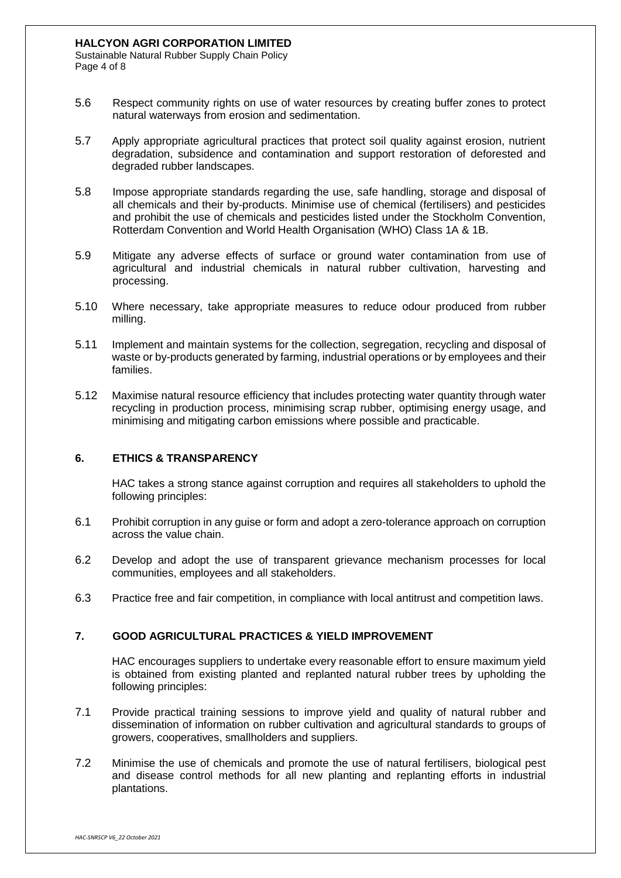Sustainable Natural Rubber Supply Chain Policy Page 4 of 8

- 5.6 Respect community rights on use of water resources by creating buffer zones to protect natural waterways from erosion and sedimentation.
- 5.7 Apply appropriate agricultural practices that protect soil quality against erosion, nutrient degradation, subsidence and contamination and support restoration of deforested and degraded rubber landscapes.
- 5.8 Impose appropriate standards regarding the use, safe handling, storage and disposal of all chemicals and their by-products. Minimise use of chemical (fertilisers) and pesticides and prohibit the use of chemicals and pesticides listed under the Stockholm Convention, Rotterdam Convention and World Health Organisation (WHO) Class 1A & 1B.
- 5.9 Mitigate any adverse effects of surface or ground water contamination from use of agricultural and industrial chemicals in natural rubber cultivation, harvesting and processing.
- 5.10 Where necessary, take appropriate measures to reduce odour produced from rubber milling.
- 5.11 Implement and maintain systems for the collection, segregation, recycling and disposal of waste or by-products generated by farming, industrial operations or by employees and their families.
- 5.12 Maximise natural resource efficiency that includes protecting water quantity through water recycling in production process, minimising scrap rubber, optimising energy usage, and minimising and mitigating carbon emissions where possible and practicable.

### **6. ETHICS & TRANSPARENCY**

HAC takes a strong stance against corruption and requires all stakeholders to uphold the following principles:

- 6.1 Prohibit corruption in any guise or form and adopt a zero-tolerance approach on corruption across the value chain.
- 6.2 Develop and adopt the use of transparent grievance mechanism processes for local communities, employees and all stakeholders.
- 6.3 Practice free and fair competition, in compliance with local antitrust and competition laws.

### **7. GOOD AGRICULTURAL PRACTICES & YIELD IMPROVEMENT**

HAC encourages suppliers to undertake every reasonable effort to ensure maximum yield is obtained from existing planted and replanted natural rubber trees by upholding the following principles:

- 7.1 Provide practical training sessions to improve yield and quality of natural rubber and dissemination of information on rubber cultivation and agricultural standards to groups of growers, cooperatives, smallholders and suppliers.
- 7.2 Minimise the use of chemicals and promote the use of natural fertilisers, biological pest and disease control methods for all new planting and replanting efforts in industrial plantations.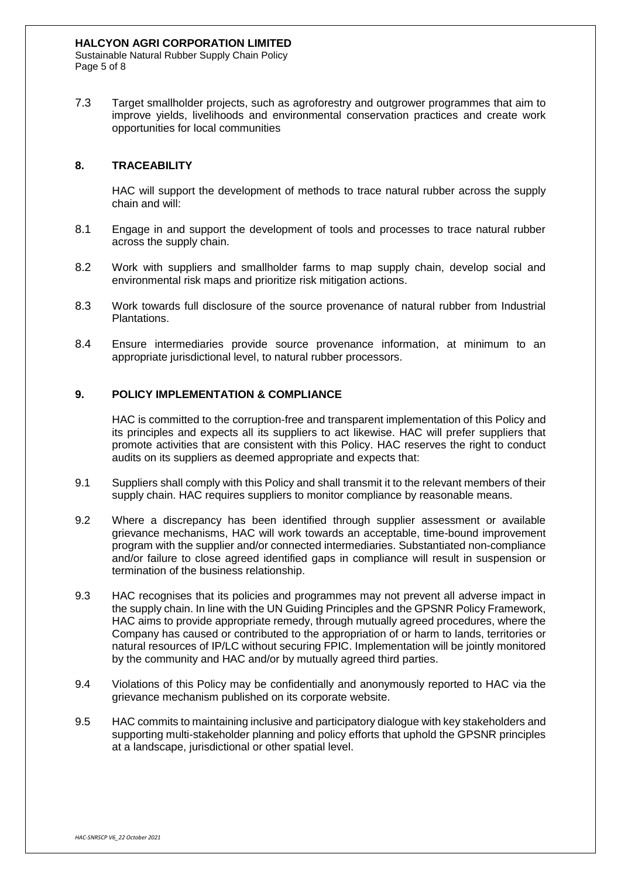Sustainable Natural Rubber Supply Chain Policy Page 5 of 8

7.3 Target smallholder projects, such as agroforestry and outgrower programmes that aim to improve yields, livelihoods and environmental conservation practices and create work opportunities for local communities

### **8. TRACEABILITY**

HAC will support the development of methods to trace natural rubber across the supply chain and will:

- 8.1 Engage in and support the development of tools and processes to trace natural rubber across the supply chain.
- 8.2 Work with suppliers and smallholder farms to map supply chain, develop social and environmental risk maps and prioritize risk mitigation actions.
- 8.3 Work towards full disclosure of the source provenance of natural rubber from Industrial Plantations.
- 8.4 Ensure intermediaries provide source provenance information, at minimum to an appropriate jurisdictional level, to natural rubber processors.

### **9. POLICY IMPLEMENTATION & COMPLIANCE**

HAC is committed to the corruption-free and transparent implementation of this Policy and its principles and expects all its suppliers to act likewise. HAC will prefer suppliers that promote activities that are consistent with this Policy. HAC reserves the right to conduct audits on its suppliers as deemed appropriate and expects that:

- 9.1 Suppliers shall comply with this Policy and shall transmit it to the relevant members of their supply chain. HAC requires suppliers to monitor compliance by reasonable means.
- 9.2 Where a discrepancy has been identified through supplier assessment or available grievance mechanisms, HAC will work towards an acceptable, time-bound improvement program with the supplier and/or connected intermediaries. Substantiated non-compliance and/or failure to close agreed identified gaps in compliance will result in suspension or termination of the business relationship.
- 9.3 HAC recognises that its policies and programmes may not prevent all adverse impact in the supply chain. In line with the UN Guiding Principles and the GPSNR Policy Framework, HAC aims to provide appropriate remedy, through mutually agreed procedures, where the Company has caused or contributed to the appropriation of or harm to lands, territories or natural resources of IP/LC without securing FPIC. Implementation will be jointly monitored by the community and HAC and/or by mutually agreed third parties.
- 9.4 Violations of this Policy may be confidentially and anonymously reported to HAC via the grievance mechanism published on its corporate website.
- 9.5 HAC commits to maintaining inclusive and participatory dialogue with key stakeholders and supporting multi-stakeholder planning and policy efforts that uphold the GPSNR principles at a landscape, jurisdictional or other spatial level.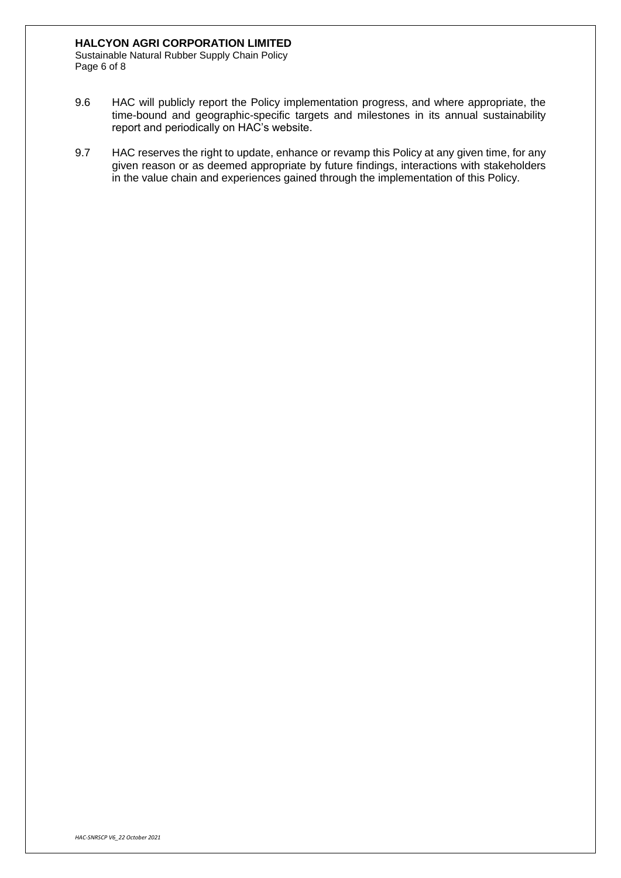#### **HALCYON AGRI CORPORATION LIMITED**

Sustainable Natural Rubber Supply Chain Policy Page 6 of 8

- 9.6 HAC will publicly report the Policy implementation progress, and where appropriate, the time-bound and geographic-specific targets and milestones in its annual sustainability report and periodically on HAC's website.
- 9.7 HAC reserves the right to update, enhance or revamp this Policy at any given time, for any given reason or as deemed appropriate by future findings, interactions with stakeholders in the value chain and experiences gained through the implementation of this Policy.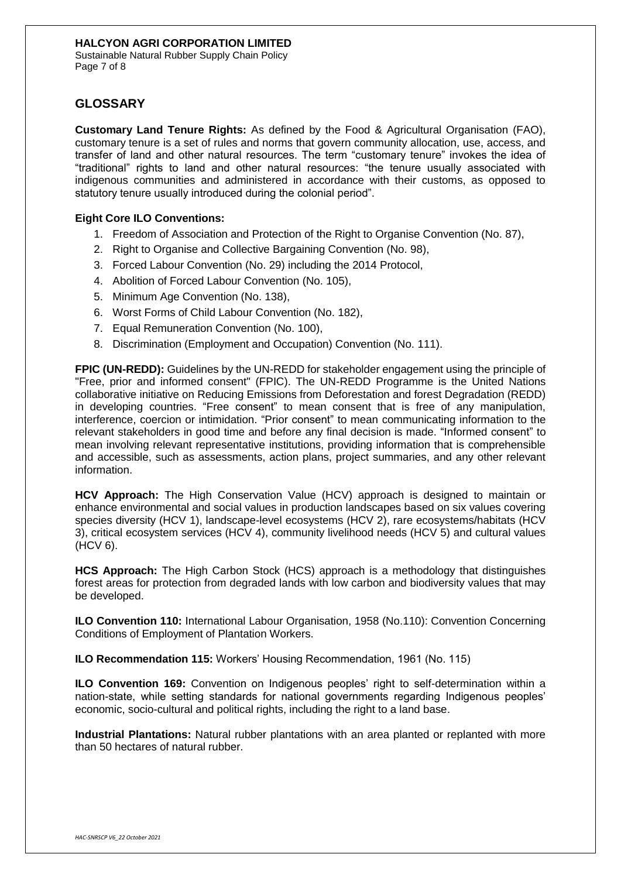Sustainable Natural Rubber Supply Chain Policy Page 7 of 8

## **GLOSSARY**

**Customary Land Tenure Rights:** As defined by the Food & Agricultural Organisation (FAO), customary tenure is a set of rules and norms that govern community allocation, use, access, and transfer of land and other natural resources. The term "customary tenure" invokes the idea of "traditional" rights to land and other natural resources: "the tenure usually associated with indigenous communities and administered in accordance with their customs, as opposed to statutory tenure usually introduced during the colonial period".

### **Eight Core ILO Conventions:**

- 1. Freedom of Association and Protection of the Right to Organise Convention (No. 87),
- 2. Right to Organise and Collective Bargaining Convention (No. 98),
- 3. Forced Labour Convention (No. 29) including the 2014 Protocol,
- 4. Abolition of Forced Labour Convention (No. 105),
- 5. Minimum Age Convention (No. 138),
- 6. Worst Forms of Child Labour Convention (No. 182),
- 7. Equal Remuneration Convention (No. 100),
- 8. Discrimination (Employment and Occupation) Convention (No. 111).

**FPIC (UN-REDD):** Guidelines by the UN-REDD for stakeholder engagement using the principle of "Free, prior and informed consent" (FPIC). The UN-REDD Programme is the United Nations collaborative initiative on Reducing Emissions from Deforestation and forest Degradation (REDD) in developing countries. "Free consent" to mean consent that is free of any manipulation, interference, coercion or intimidation. "Prior consent" to mean communicating information to the relevant stakeholders in good time and before any final decision is made. "Informed consent" to mean involving relevant representative institutions, providing information that is comprehensible and accessible, such as assessments, action plans, project summaries, and any other relevant information.

**HCV Approach:** The High Conservation Value (HCV) approach is designed to maintain or enhance environmental and social values in production landscapes based on six values covering species diversity (HCV 1), landscape-level ecosystems (HCV 2), rare ecosystems/habitats (HCV 3), critical ecosystem services (HCV 4), community livelihood needs (HCV 5) and cultural values (HCV 6).

**HCS Approach:** The High Carbon Stock (HCS) approach is a methodology that distinguishes forest areas for protection from degraded lands with low carbon and biodiversity values that may be developed.

**ILO Convention 110:** International Labour Organisation, 1958 (No.110): Convention Concerning Conditions of Employment of Plantation Workers.

**ILO Recommendation 115:** Workers' Housing Recommendation, 1961 (No. 115)

**ILO Convention 169:** Convention on Indigenous peoples' right to self-determination within a nation-state, while setting standards for national governments regarding Indigenous peoples' economic, socio-cultural and political rights, including the right to a land base.

**Industrial Plantations:** Natural rubber plantations with an area planted or replanted with more than 50 hectares of natural rubber.